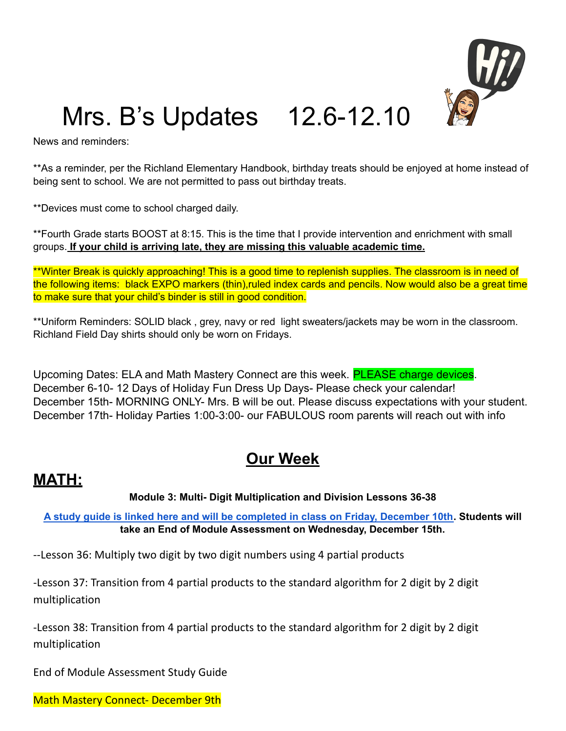

## Mrs. B's Updates 12.6-12.10

News and reminders:

\*\*As a reminder, per the Richland Elementary Handbook, birthday treats should be enjoyed at home instead of being sent to school. We are not permitted to pass out birthday treats.

\*\*Devices must come to school charged daily.

\*\*Fourth Grade starts BOOST at 8:15. This is the time that I provide intervention and enrichment with small groups. **If your child is arriving late, they are missing this valuable academic time.**

\*\*Winter Break is quickly approaching! This is a good time to replenish supplies. The classroom is in need of the following items: black EXPO markers (thin),ruled index cards and pencils. Now would also be a great time to make sure that your child's binder is still in good condition.

\*\*Uniform Reminders: SOLID black , grey, navy or red light sweaters/jackets may be worn in the classroom. Richland Field Day shirts should only be worn on Fridays.

Upcoming Dates: ELA and Math Mastery Connect are this week. **PLEASE charge devices**. December 6-10- 12 Days of Holiday Fun Dress Up Days- Please check your calendar! December 15th- MORNING ONLY- Mrs. B will be out. Please discuss expectations with your student. December 17th- Holiday Parties 1:00-3:00- our FABULOUS room parents will reach out with info

## **Our Week**

## **MATH:**

## **Module 3: Multi- Digit Multiplication and Division Lessons 36-38**

A study guide is linked here and will be [completed](https://drive.google.com/file/d/1u95nvvWYMp7bzXPvsONGhcDRFsUHzBkR/view?usp=sharing) in class on Friday, December 10th. Students will **take an End of Module Assessment on Wednesday, December 15th.**

--Lesson 36: Multiply two digit by two digit numbers using 4 partial products

-Lesson 37: Transition from 4 partial products to the standard algorithm for 2 digit by 2 digit multiplication

-Lesson 38: Transition from 4 partial products to the standard algorithm for 2 digit by 2 digit multiplication

End of Module Assessment Study Guide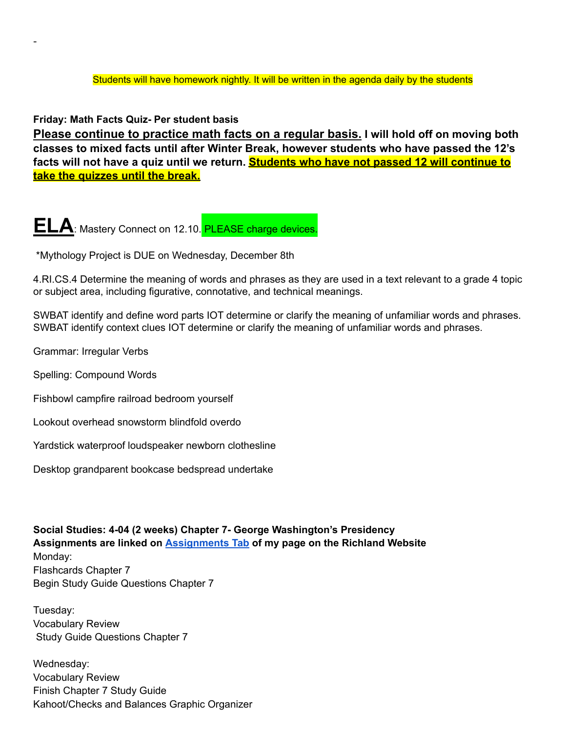**Friday: Math Facts Quiz- Per student basis**

-

**Please continue to practice math facts on a regular basis. I will hold off on moving both classes to mixed facts until after Winter Break, however students who have passed the 12's facts will not have a quiz until we return. Students who have not passed 12 will continue to take the quizzes until the break.**

**ELA**: Mastery Connect on 12.10. PLEASE charge devices.

\*Mythology Project is DUE on Wednesday, December 8th

4.RI.CS.4 Determine the meaning of words and phrases as they are used in a text relevant to a grade 4 topic or subject area, including figurative, connotative, and technical meanings.

SWBAT identify and define word parts IOT determine or clarify the meaning of unfamiliar words and phrases. SWBAT identify context clues IOT determine or clarify the meaning of unfamiliar words and phrases.

Grammar: Irregular Verbs

Spelling: Compound Words

Fishbowl campfire railroad bedroom yourself

Lookout overhead snowstorm blindfold overdo

Yardstick waterproof loudspeaker newborn clothesline

Desktop grandparent bookcase bedspread undertake

**Social Studies: 4-04 (2 weeks) Chapter 7- George Washington's Presidency Assignments are linked on [Assignments](https://schools.scsk12.org/Page/14428) Tab of my page on the Richland Website** Monday: Flashcards Chapter 7 Begin Study Guide Questions Chapter 7

Tuesday: Vocabulary Review Study Guide Questions Chapter 7

Wednesday: Vocabulary Review Finish Chapter 7 Study Guide Kahoot/Checks and Balances Graphic Organizer